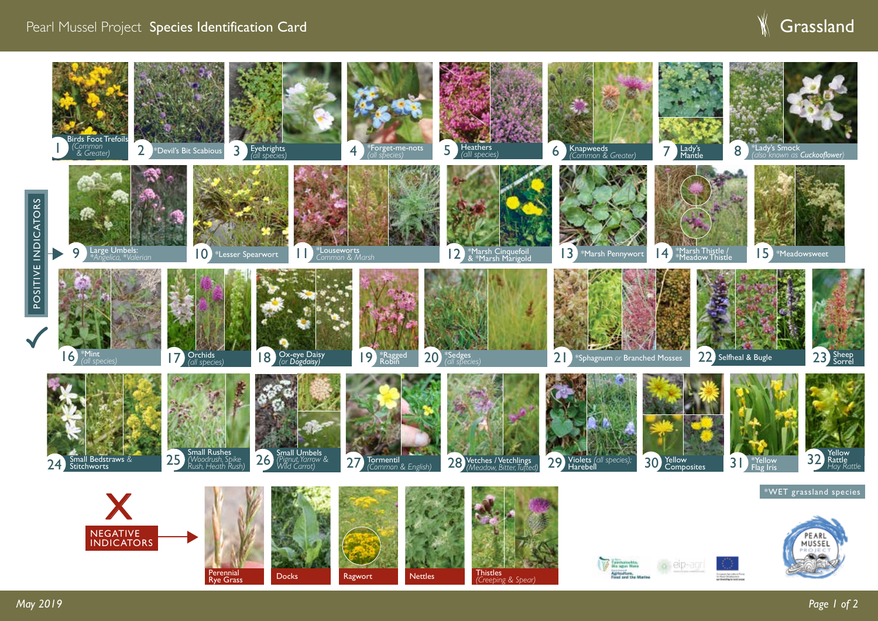## Pearl Mussel Project Species Identification Card

## **Grassland**